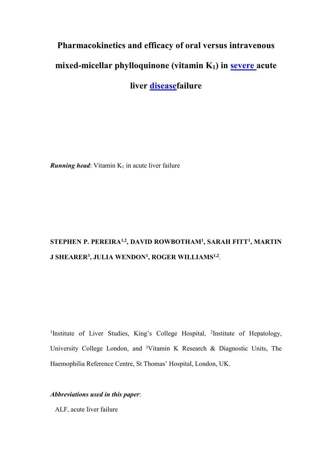# Pharmacokinetics and efficacy of oral versus intravenous mixed-micellar phylloquinone (vitamin K<sub>1</sub>) in **severe** acute liver diseasefailure

**Running head:** Vitamin  $K_1$  in acute liver failure

# STEPHEN P. PEREIRA½, DAVID ROWBOTHAM½, SARAH FITT½, MARTIN J SHEARER<sup>3</sup> , JULIA WENDON<sup>1</sup> , ROGER WILLIAMS1,2 .

<sup>1</sup>Institute of Liver Studies, King's College Hospital, <sup>2</sup>Institute of Hepatology, University College London, and <sup>3</sup>Vitamin K Research & Diagnostic Units, The Haemophilia Reference Centre, St Thomas' Hospital, London, UK.

# Abbreviations used in this paper:

ALF, acute liver failure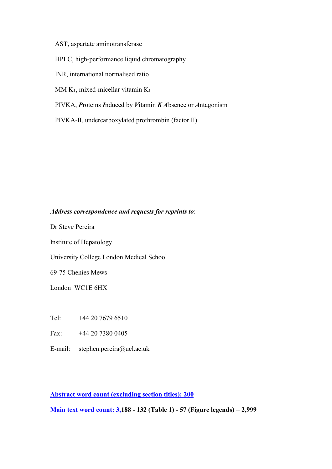AST, aspartate aminotransferase

HPLC, high-performance liquid chromatography

INR, international normalised ratio

MM  $K_1$ , mixed-micellar vitamin  $K_1$ 

PIVKA, Proteins Induced by Vitamin K Absence or Antagonism

PIVKA-II, undercarboxylated prothrombin (factor II)

# Address correspondence and requests for reprints to:

Dr Steve Pereira

Institute of Hepatology

University College London Medical School

69-75 Chenies Mews

London WC1E 6HX

Tel: +44 20 7679 6510

Fax: +44 20 7380 0405

E-mail: stephen.pereira@ucl.ac.uk

Abstract word count (excluding section titles): 200

Main text word count: 3,188 - 132 (Table 1) - 57 (Figure legends) = 2,999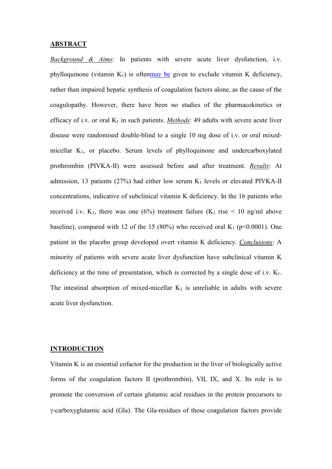#### **ABSTRACT**

Background & Aims: In patients with severe acute liver dysfunction, i.v. phylloquinone (vitamin  $K_1$ ) is oftenmay be given to exclude vitamin K deficiency, rather than impaired hepatic synthesis of coagulation factors alone, as the cause of the coagulopathy. However, there have been no studies of the pharmacokinetics or efficacy of i.v. or oral  $K_1$  in such patients. *Methods*: 49 adults with severe acute liver disease were randomised double-blind to a single 10 mg dose of i.v. or oral mixedmicellar K<sub>1</sub>, or placebo. Serum levels of phylloquinone and undercarboxylated prothrombin (PIVKA-II) were assessed before and after treatment. Results: At admission, 13 patients (27%) had either low serum  $K_1$  levels or elevated PIVKA-II concentrations, indicative of subclinical vitamin K deficiency. In the 16 patients who received i.v. K<sub>1</sub>, there was one (6%) treatment failure (K<sub>1</sub> rise  $\leq$  10 ng/ml above baseline), compared with 12 of the 15 (80%) who received oral  $K_1$  (p<0.0001). One patient in the placebo group developed overt vitamin K deficiency. Conclusions: A minority of patients with severe acute liver dysfunction have subclinical vitamin K deficiency at the time of presentation, which is corrected by a single dose of i.v.  $K_1$ . The intestinal absorption of mixed-micellar  $K_1$  is unreliable in adults with severe acute liver dysfunction.

#### **INTRODUCTION**

Vitamin K is an essential cofactor for the production in the liver of biologically active forms of the coagulation factors II (prothrombin), VII, IX, and X. Its role is to promote the conversion of certain glutamic acid residues in the protein precursors to γ-carboxyglutamic acid (Gla). The Gla-residues of these coagulation factors provide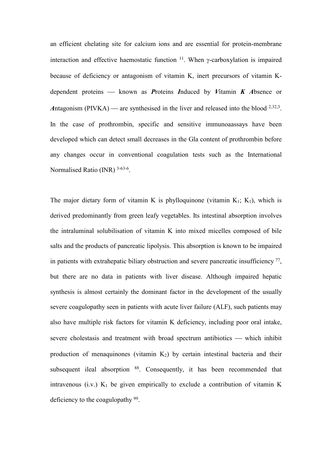an efficient chelating site for calcium ions and are essential for protein-membrane interaction and effective haemostatic function  $11$ . When γ-carboxylation is impaired because of deficiency or antagonism of vitamin K, inert precursors of vitamin Kdependent proteins  $-$  known as *Proteins Induced by Vitamin K Absence or* Antagonism (PIVKA) — are synthesised in the liver and released into the blood  $2,32,3$ . In the case of prothrombin, specific and sensitive immunoaassays have been developed which can detect small decreases in the Gla content of prothrombin before any changes occur in conventional coagulation tests such as the International Normalised Ratio (INR) 3-63-6.

The major dietary form of vitamin K is phylloquinone (vitamin  $K_1$ ;  $K_1$ ), which is derived predominantly from green leafy vegetables. Its intestinal absorption involves the intraluminal solubilisation of vitamin K into mixed micelles composed of bile salts and the products of pancreatic lipolysis. This absorption is known to be impaired in patients with extrahepatic biliary obstruction and severe pancreatic insufficiency  $^{77}$ , but there are no data in patients with liver disease. Although impaired hepatic synthesis is almost certainly the dominant factor in the development of the usually severe coagulopathy seen in patients with acute liver failure (ALF), such patients may also have multiple risk factors for vitamin K deficiency, including poor oral intake, severe cholestasis and treatment with broad spectrum antibiotics — which inhibit production of menaquinones (vitamin  $K_2$ ) by certain intestinal bacteria and their subsequent ileal absorption <sup>88</sup>. Consequently, it has been recommended that intravenous (i.v.)  $K_1$  be given empirically to exclude a contribution of vitamin K deficiency to the coagulopathy <sup>99</sup>.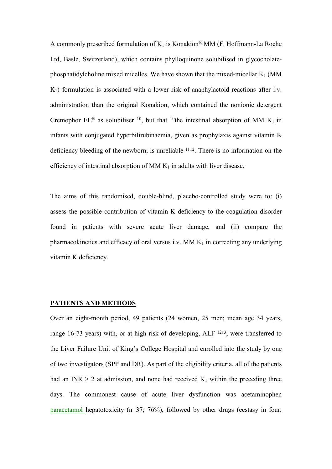A commonly prescribed formulation of  $K_1$  is Konakion® MM (F. Hoffmann-La Roche Ltd, Basle, Switzerland), which contains phylloquinone solubilised in glycocholatephosphatidylcholine mixed micelles. We have shown that the mixed-micellar  $K_1$  (MM  $K_1$ ) formulation is associated with a lower risk of anaphylactoid reactions after i.v. administration than the original Konakion, which contained the nonionic detergent Cremophor EL<sup>®</sup> as solubiliser <sup>10</sup>, but that <sup>10</sup>the intestinal absorption of MM K<sub>1</sub> in infants with conjugated hyperbilirubinaemia, given as prophylaxis against vitamin K deficiency bleeding of the newborn, is unreliable <sup>1112</sup>. There is no information on the efficiency of intestinal absorption of MM  $K_1$  in adults with liver disease.

The aims of this randomised, double-blind, placebo-controlled study were to: (i) assess the possible contribution of vitamin K deficiency to the coagulation disorder found in patients with severe acute liver damage, and (ii) compare the pharmacokinetics and efficacy of oral versus i.v. MM  $K_1$  in correcting any underlying vitamin K deficiency.

#### PATIENTS AND METHODS

Over an eight-month period, 49 patients (24 women, 25 men; mean age 34 years, range 16-73 years) with, or at high risk of developing, ALF <sup>1213</sup>, were transferred to the Liver Failure Unit of King's College Hospital and enrolled into the study by one of two investigators (SPP and DR). As part of the eligibility criteria, all of the patients had an INR  $> 2$  at admission, and none had received  $K_1$  within the preceding three days. The commonest cause of acute liver dysfunction was acetaminophen paracetamol hepatotoxicity (n=37; 76%), followed by other drugs (ecstasy in four,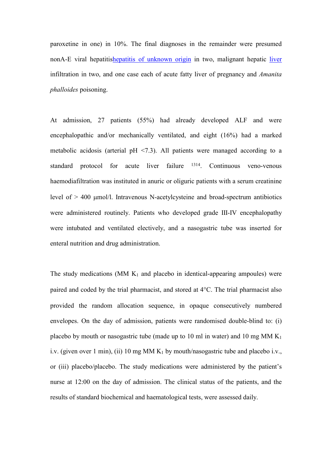paroxetine in one) in 10%. The final diagnoses in the remainder were presumed nonA-E viral hepatitishepatitis of unknown origin in two, malignant hepatic liver infiltration in two, and one case each of acute fatty liver of pregnancy and Amanita phalloides poisoning.

At admission, 27 patients (55%) had already developed ALF and were encephalopathic and/or mechanically ventilated, and eight (16%) had a marked metabolic acidosis (arterial  $pH \le 7.3$ ). All patients were managed according to a standard protocol for acute liver failure <sup>1314</sup>. Continuous veno-venous haemodiafiltration was instituted in anuric or oliguric patients with a serum creatinine level of > 400 µmol/l. Intravenous N-acetylcysteine and broad-spectrum antibiotics were administered routinely. Patients who developed grade III-IV encephalopathy were intubated and ventilated electively, and a nasogastric tube was inserted for enteral nutrition and drug administration.

The study medications (MM  $K_1$  and placebo in identical-appearing ampoules) were paired and coded by the trial pharmacist, and stored at 4°C. The trial pharmacist also provided the random allocation sequence, in opaque consecutively numbered envelopes. On the day of admission, patients were randomised double-blind to: (i) placebo by mouth or nasogastric tube (made up to 10 ml in water) and 10 mg  $MMK_1$ i.v. (given over 1 min), (ii) 10 mg MM  $K_1$  by mouth/nasogastric tube and placebo i.v., or (iii) placebo/placebo. The study medications were administered by the patient's nurse at 12:00 on the day of admission. The clinical status of the patients, and the results of standard biochemical and haematological tests, were assessed daily.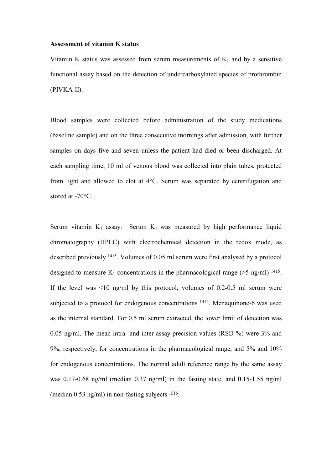#### Assessment of vitamin K status

Vitamin K status was assessed from serum measurements of  $K_1$  and by a sensitive functional assay based on the detection of undercarboxylated species of prothrombin (PIVKA-II).

Blood samples were collected before administration of the study medications (baseline sample) and on the three consecutive mornings after admission, with further samples on days five and seven unless the patient had died or been discharged. At each sampling time, 10 ml of venous blood was collected into plain tubes, protected from light and allowed to clot at 4°C. Serum was separated by centrifugation and stored at -70 $\mathrm{^{\circ}C}$ .

Serum vitamin  $K_1$  assay: Serum  $K_1$  was measured by high performance liquid chromatography (HPLC) with electrochemical detection in the redox mode, as described previously <sup>1415</sup>. Volumes of 0.05 ml serum were first analysed by a protocol designed to measure  $K_1$  concentrations in the pharmacological range ( $>5$  ng/ml) <sup>1415</sup>. If the level was  $\leq 10$  ng/ml by this protocol, volumes of 0.2-0.5 ml serum were subjected to a protocol for endogenous concentrations <sup>1415</sup>. Menaquinone-6 was used as the internal standard. For 0.5 ml serum extracted, the lower limit of detection was 0.05 ng/ml. The mean intra- and inter-assay precision values (RSD %) were 3% and 9%, respectively, for concentrations in the pharmacological range, and 5% and 10% for endogenous concentrations. The normal adult reference range by the same assay was 0.17-0.68 ng/ml (median 0.37 ng/ml) in the fasting state, and 0.15-1.55 ng/ml (median 0.53 ng/ml) in non-fasting subjects <sup>1516</sup> .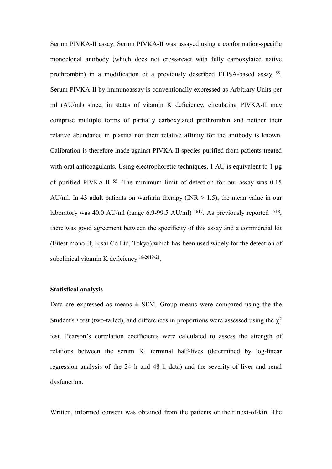Serum PIVKA-II assay: Serum PIVKA-II was assayed using a conformation-specific monoclonal antibody (which does not cross-react with fully carboxylated native prothrombin) in a modification of a previously described ELISA-based assay <sup>55</sup>. Serum PIVKA-II by immunoassay is conventionally expressed as Arbitrary Units per ml (AU/ml) since, in states of vitamin K deficiency, circulating PIVKA-II may comprise multiple forms of partially carboxylated prothrombin and neither their relative abundance in plasma nor their relative affinity for the antibody is known. Calibration is therefore made against PIVKA-II species purified from patients treated with oral anticoagulants. Using electrophoretic techniques, 1 AU is equivalent to 1  $\mu$ g of purified PIVKA-II <sup>55</sup>. The minimum limit of detection for our assay was 0.15 AU/ml. In 43 adult patients on warfarin therapy ( $INR > 1.5$ ), the mean value in our laboratory was 40.0 AU/ml (range  $6.9$ -99.5 AU/ml) <sup>1617</sup>. As previously reported <sup>1718</sup>, there was good agreement between the specificity of this assay and a commercial kit (Eitest mono-II; Eisai Co Ltd, Tokyo) which has been used widely for the detection of subclinical vitamin K deficiency <sup>18-2019-21</sup>.

# Statistical analysis

Data are expressed as means  $\pm$  SEM. Group means were compared using the the Student's t test (two-tailed), and differences in proportions were assessed using the  $\chi^2$ test. Pearson's correlation coefficients were calculated to assess the strength of relations between the serum  $K_1$  terminal half-lives (determined by log-linear regression analysis of the 24 h and 48 h data) and the severity of liver and renal dysfunction.

Written, informed consent was obtained from the patients or their next-of-kin. The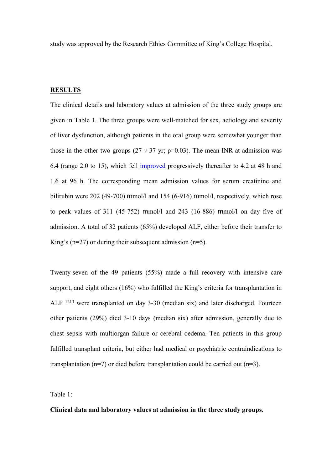study was approved by the Research Ethics Committee of King's College Hospital.

### **RESULTS**

The clinical details and laboratory values at admission of the three study groups are given in Table 1. The three groups were well-matched for sex, aetiology and severity of liver dysfunction, although patients in the oral group were somewhat younger than those in the other two groups (27  $v$  37 yr; p=0.03). The mean INR at admission was 6.4 (range 2.0 to 15), which fell improved progressively thereafter to 4.2 at 48 h and 1.6 at 96 h. The corresponding mean admission values for serum creatinine and bilirubin were 202 (49-700) mmol/l and 154 (6-916) mmol/l, respectively, which rose to peak values of 311 (45-752) mmol/l and 243 (16-886) mmol/l on day five of admission. A total of 32 patients (65%) developed ALF, either before their transfer to King's ( $n=27$ ) or during their subsequent admission ( $n=5$ ).

Twenty-seven of the 49 patients (55%) made a full recovery with intensive care support, and eight others (16%) who fulfilled the King's criteria for transplantation in ALF <sup>1213</sup> were transplanted on day 3-30 (median six) and later discharged. Fourteen other patients (29%) died 3-10 days (median six) after admission, generally due to chest sepsis with multiorgan failure or cerebral oedema. Ten patients in this group fulfilled transplant criteria, but either had medical or psychiatric contraindications to transplantation (n=7) or died before transplantation could be carried out (n=3).

Table 1:

Clinical data and laboratory values at admission in the three study groups.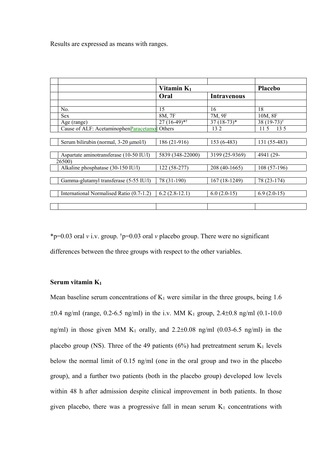Results are expressed as means with ranges.

|                                                | Vitamin $K_1$    |                    | <b>Placebo</b>          |
|------------------------------------------------|------------------|--------------------|-------------------------|
|                                                | Oral             | <b>Intravenous</b> |                         |
|                                                |                  |                    |                         |
| No.                                            | 15               | 16                 | 18                      |
| Sex                                            | 8M, 7F           | 7M, 9F             | 10M, 8F                 |
| Age (range)                                    | $27(16-49)$ *†   | $37(18-73)*$       | 38 (19-73) <sup>†</sup> |
| Cause of ALF: AcetaminophenParacetamoll Others |                  | 132                | 115<br>13.5             |
|                                                |                  |                    |                         |
| Serum bilirubin (normal, 3-20 µmol/l)          | 186 (21-916)     | 153 (6-483)        | 131 (55-483)            |
|                                                |                  |                    |                         |
| Aspartate aminotransferase (10-50 IU/l)        | 5839 (348-22000) | 3199 (25-9369)     | 4941 (29-               |
| 26500)                                         |                  |                    |                         |
| Alkaline phosphatase (30-150 IU/l)             | 122 (58-277)     | 208 (40-1665)      | $108(57-196)$           |
|                                                |                  |                    |                         |
| Gamma-glutamyl transferase (5-55 IU/l)         | 78 (31-190)      | 167 (18-1249)      | 78 (23-174)             |
|                                                |                  |                    |                         |
| International Normalised Ratio (0.7-1.2)       | $6.2(2.8-12.1)$  | $6.0(2.0-15)$      | $6.9(2.0-15)$           |
|                                                |                  |                    |                         |
|                                                |                  |                    |                         |

\*p=0.03 oral v i.v. group.  $\phi$ =0.03 oral v placebo group. There were no significant differences between the three groups with respect to the other variables.

# Serum vitamin  $K_1$

Mean baseline serum concentrations of  $K_1$  were similar in the three groups, being 1.6  $\pm 0.4$  ng/ml (range, 0.2-6.5 ng/ml) in the i.v. MM K<sub>1</sub> group, 2.4 $\pm 0.8$  ng/ml (0.1-10.0) ng/ml) in those given MM  $K_1$  orally, and 2.2 $\pm$ 0.08 ng/ml (0.03-6.5 ng/ml) in the placebo group (NS). Three of the 49 patients (6%) had pretreatment serum  $K_1$  levels below the normal limit of 0.15 ng/ml (one in the oral group and two in the placebo group), and a further two patients (both in the placebo group) developed low levels within 48 h after admission despite clinical improvement in both patients. In those given placebo, there was a progressive fall in mean serum  $K_1$  concentrations with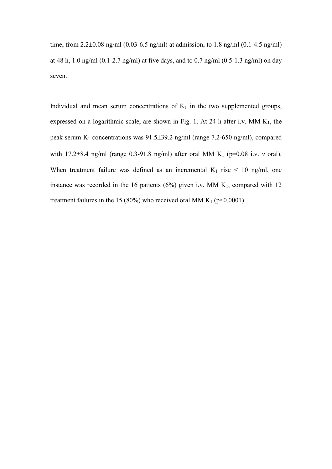time, from 2.2±0.08 ng/ml (0.03-6.5 ng/ml) at admission, to 1.8 ng/ml (0.1-4.5 ng/ml) at 48 h, 1.0 ng/ml (0.1-2.7 ng/ml) at five days, and to 0.7 ng/ml (0.5-1.3 ng/ml) on day seven.

Individual and mean serum concentrations of  $K_1$  in the two supplemented groups, expressed on a logarithmic scale, are shown in Fig. 1. At 24 h after i.v. MM  $K_1$ , the peak serum  $K_1$  concentrations was 91.5 $\pm$ 39.2 ng/ml (range 7.2-650 ng/ml), compared with 17.2 $\pm$ 8.4 ng/ml (range 0.3-91.8 ng/ml) after oral MM K<sub>1</sub> (p=0.08 i.v. v oral). When treatment failure was defined as an incremental  $K_1$  rise  $\leq 10$  ng/ml, one instance was recorded in the 16 patients ( $6\%$ ) given i.v. MM K<sub>1</sub>, compared with 12 treatment failures in the 15 (80%) who received oral MM  $K_1$  (p<0.0001).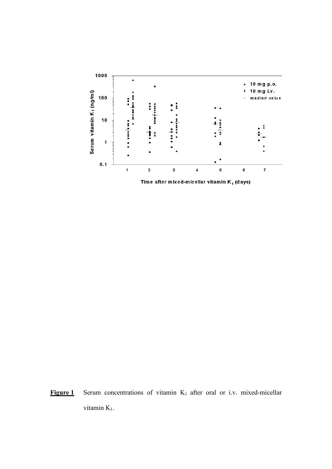

Figure 1 Serum concentrations of vitamin  $K_1$  after oral or i.v. mixed-micellar vitamin K<sub>1</sub>.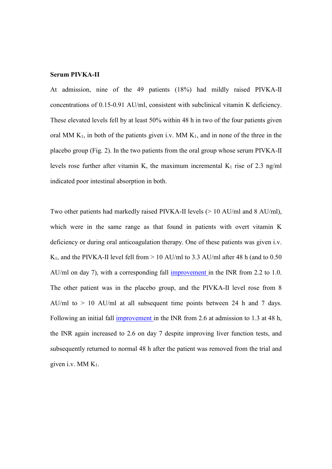#### Serum PIVKA-II

At admission, nine of the 49 patients (18%) had mildly raised PIVKA-II concentrations of 0.15-0.91 AU/ml, consistent with subclinical vitamin K deficiency. These elevated levels fell by at least 50% within 48 h in two of the four patients given oral MM  $K_1$ , in both of the patients given i.v. MM  $K_1$ , and in none of the three in the placebo group (Fig. 2). In the two patients from the oral group whose serum PIVKA-II levels rose further after vitamin K, the maximum incremental  $K_1$  rise of 2.3 ng/ml indicated poor intestinal absorption in both.

Two other patients had markedly raised PIVKA-II levels (> 10 AU/ml and 8 AU/ml), which were in the same range as that found in patients with overt vitamin K deficiency or during oral anticoagulation therapy. One of these patients was given i.v. K<sub>1</sub>, and the PIVKA-II level fell from > 10 AU/ml to 3.3 AU/ml after 48 h (and to 0.50) AU/ml on day 7), with a corresponding fall improvement in the INR from 2.2 to 1.0. The other patient was in the placebo group, and the PIVKA-II level rose from 8 AU/ml to  $> 10$  AU/ml at all subsequent time points between 24 h and 7 days. Following an initial fall improvement in the INR from 2.6 at admission to 1.3 at 48 h, the INR again increased to 2.6 on day 7 despite improving liver function tests, and subsequently returned to normal 48 h after the patient was removed from the trial and given i.v. MM  $K<sub>1</sub>$ .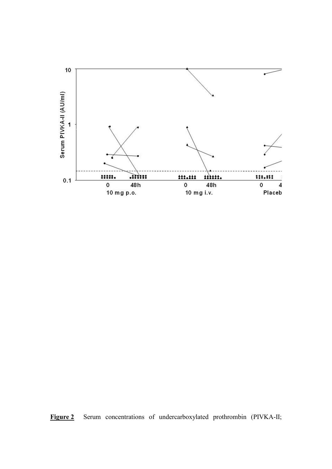

Figure 2 Serum concentrations of undercarboxylated prothrombin (PIVKA-II;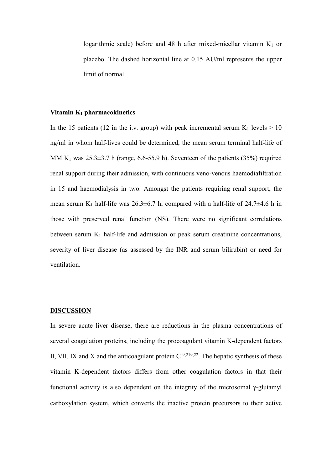logarithmic scale) before and 48 h after mixed-micellar vitamin  $K_1$  or placebo. The dashed horizontal line at 0.15 AU/ml represents the upper limit of normal.

## Vitamin  $K_1$  pharmacokinetics

In the 15 patients (12 in the i.v. group) with peak incremental serum  $K_1$  levels  $> 10$ ng/ml in whom half-lives could be determined, the mean serum terminal half-life of MM K<sub>1</sub> was  $25.3\pm3.7$  h (range, 6.6-55.9 h). Seventeen of the patients (35%) required renal support during their admission, with continuous veno-venous haemodiafiltration in 15 and haemodialysis in two. Amongst the patients requiring renal support, the mean serum K<sub>1</sub> half-life was  $26.3\pm6.7$  h, compared with a half-life of  $24.7\pm4.6$  h in those with preserved renal function (NS). There were no significant correlations between serum  $K_1$  half-life and admission or peak serum creatinine concentrations, severity of liver disease (as assessed by the INR and serum bilirubin) or need for ventilation.

#### **DISCUSSION**

In severe acute liver disease, there are reductions in the plasma concentrations of several coagulation proteins, including the procoagulant vitamin K-dependent factors II, VII, IX and X and the anticoagulant protein  $C^{9,219,22}$ . The hepatic synthesis of these vitamin K-dependent factors differs from other coagulation factors in that their functional activity is also dependent on the integrity of the microsomal γ-glutamyl carboxylation system, which converts the inactive protein precursors to their active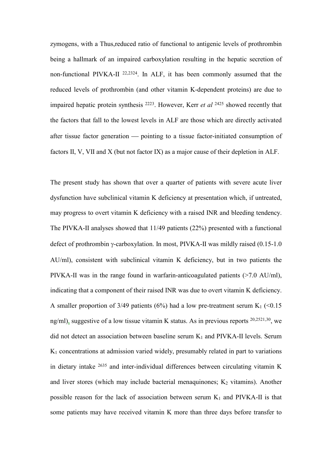zymogens, with a Thus,reduced ratio of functional to antigenic levels of prothrombin being a hallmark of an impaired carboxylation resulting in the hepatic secretion of non-functional PIVKA-II 22,2324. In ALF, it has been commonly assumed that the reduced levels of prothrombin (and other vitamin K-dependent proteins) are due to impaired hepatic protein synthesis  $^{2223}$ . However, Kerr *et al*  $^{2425}$  showed recently that the factors that fall to the lowest levels in ALF are those which are directly activated after tissue factor generation — pointing to a tissue factor-initiated consumption of factors II, V, VII and X (but not factor IX) as a major cause of their depletion in ALF.

The present study has shown that over a quarter of patients with severe acute liver dysfunction have subclinical vitamin K deficiency at presentation which, if untreated, may progress to overt vitamin K deficiency with a raised INR and bleeding tendency. The PIVKA-II analyses showed that 11/49 patients (22%) presented with a functional defect of prothrombin γ-carboxylation. In most, PIVKA-II was mildly raised (0.15-1.0 AU/ml), consistent with subclinical vitamin K deficiency, but in two patients the PIVKA-II was in the range found in warfarin-anticoagulated patients (>7.0 AU/ml), indicating that a component of their raised INR was due to overt vitamin K deficiency. A smaller proportion of 3/49 patients (6%) had a low pre-treatment serum  $K_1$  (<0.15 ng/ml), suggestive of a low tissue vitamin K status. As in previous reports 20,2521,30, we did not detect an association between baseline serum  $K_1$  and PIVKA-II levels. Serum  $K<sub>1</sub>$  concentrations at admission varied widely, presumably related in part to variations in dietary intake <sup>2635</sup> and inter-individual differences between circulating vitamin K and liver stores (which may include bacterial menaquinones;  $K_2$  vitamins). Another possible reason for the lack of association between serum  $K_1$  and PIVKA-II is that some patients may have received vitamin K more than three days before transfer to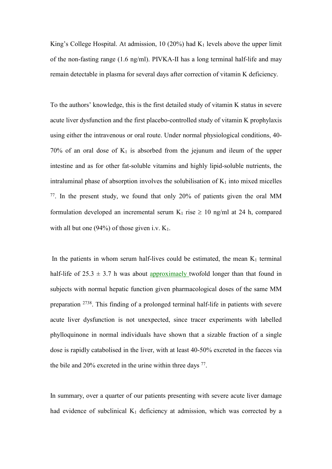King's College Hospital. At admission, 10 (20%) had  $K_1$  levels above the upper limit of the non-fasting range (1.6 ng/ml). PIVKA-II has a long terminal half-life and may remain detectable in plasma for several days after correction of vitamin K deficiency.

To the authors' knowledge, this is the first detailed study of vitamin K status in severe acute liver dysfunction and the first placebo-controlled study of vitamin K prophylaxis using either the intravenous or oral route. Under normal physiological conditions, 40- 70% of an oral dose of  $K_1$  is absorbed from the jejunum and ileum of the upper intestine and as for other fat-soluble vitamins and highly lipid-soluble nutrients, the intraluminal phase of absorption involves the solubilisation of  $K_1$  into mixed micelles <sup>77</sup>. In the present study, we found that only 20% of patients given the oral MM formulation developed an incremental serum  $K_1$  rise  $\geq 10$  ng/ml at 24 h, compared with all but one (94%) of those given i.v.  $K_1$ .

In the patients in whom serum half-lives could be estimated, the mean  $K_1$  terminal half-life of  $25.3 \pm 3.7$  h was about approximatly twofold longer than that found in subjects with normal hepatic function given pharmacological doses of the same MM preparation <sup>2738</sup>. This finding of a prolonged terminal half-life in patients with severe acute liver dysfunction is not unexpected, since tracer experiments with labelled phylloquinone in normal individuals have shown that a sizable fraction of a single dose is rapidly catabolised in the liver, with at least 40-50% excreted in the faeces via the bile and 20% excreted in the urine within three days <sup>77</sup>.

In summary, over a quarter of our patients presenting with severe acute liver damage had evidence of subclinical  $K_1$  deficiency at admission, which was corrected by a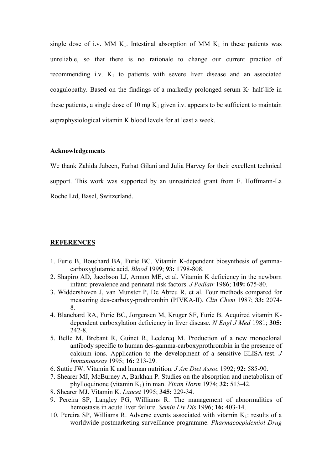single dose of i.v. MM  $K_1$ . Intestinal absorption of MM  $K_1$  in these patients was unreliable, so that there is no rationale to change our current practice of recommending i.v.  $K_1$  to patients with severe liver disease and an associated coagulopathy. Based on the findings of a markedly prolonged serum  $K_1$  half-life in these patients, a single dose of 10 mg  $K_1$  given i.v. appears to be sufficient to maintain supraphysiological vitamin K blood levels for at least a week.

### Acknowledgements

We thank Zahida Jabeen, Farhat Gilani and Julia Harvey for their excellent technical support. This work was supported by an unrestricted grant from F. Hoffmann-La Roche Ltd, Basel, Switzerland.

## **REFERENCES**

- 1. Furie B, Bouchard BA, Furie BC. Vitamin K-dependent biosynthesis of gammacarboxyglutamic acid. Blood 1999; 93: 1798-808.
- 2. Shapiro AD, Jacobson LJ, Armon ME, et al. Vitamin K deficiency in the newborn infant: prevalence and perinatal risk factors. J Pediatr 1986; 109: 675-80.
- 3. Widdershoven J, van Munster P, De Abreu R, et al. Four methods compared for measuring des-carboxy-prothrombin (PIVKA-II). Clin Chem 1987; 33: 2074- 8.
- 4. Blanchard RA, Furie BC, Jorgensen M, Kruger SF, Furie B. Acquired vitamin Kdependent carboxylation deficiency in liver disease. N Engl J Med 1981; 305: 242-8.
- 5. Belle M, Brebant R, Guinet R, Leclercq M. Production of a new monoclonal antibody specific to human des-gamma-carboxyprothrombin in the presence of calcium ions. Application to the development of a sensitive ELISA-test. J Immunoassay 1995; 16: 213-29.
- 6. Suttie JW. Vitamin K and human nutrition. J Am Diet Assoc 1992; 92: 585-90.
- 7. Shearer MJ, McBurney A, Barkhan P. Studies on the absorption and metabolism of phylloquinone (vitamin  $K_1$ ) in man. *Vitam Horm* 1974; 32: 513-42.
- 8. Shearer MJ. Vitamin K. Lancet 1995; 345: 229-34.
- 9. Pereira SP, Langley PG, Williams R. The management of abnormalities of hemostasis in acute liver failure. Semin Liv Dis 1996; **16:** 403-14.
- 10. Pereira SP, Williams R. Adverse events associated with vitamin  $K_1$ : results of a worldwide postmarketing surveillance programme. Pharmacoepidemiol Drug